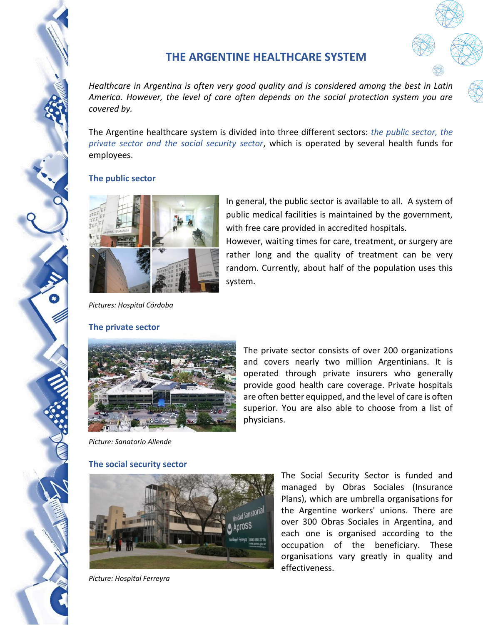

*Healthcare in Argentina is often very good quality and is considered among the best in Latin America. However, the level of care often depends on the social protection system you are covered by.*

The Argentine healthcare system is divided into three different sectors: *the public sector, the private sector and the social security sector*, which is operated by several health funds for employees.

#### **The public sector**



*Pictures: Hospital Córdoba* 

#### **The private sector**



The private sector consists of over 200 organizations and covers nearly two million Argentinians. It is operated through private insurers who generally provide good health care coverage. Private hospitals are often better equipped, and the level of care is often superior. You are also able to choose from a list of physicians.

*Picture: Sanatorio Allende* 

### **The social security sector**



The Social Security Sector is funded and managed by Obras Sociales (Insurance Plans), which are umbrella organisations for the Argentine workers' unions. There are over 300 Obras Sociales in Argentina, and each one is organised according to the occupation of the beneficiary. These organisations vary greatly in quality and effectiveness.

*Picture: Hospital Ferreyra*